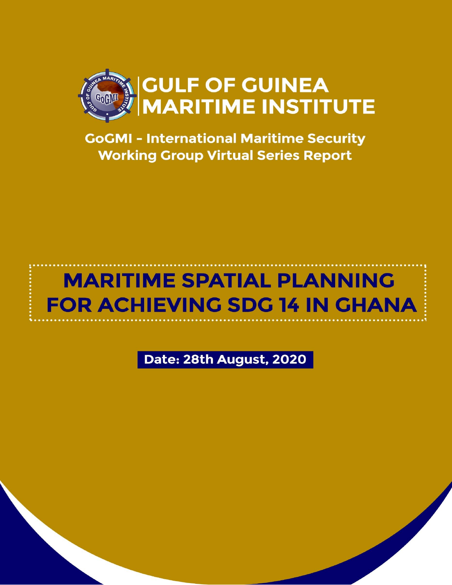

**GoGMI - International Maritime Security Working Group Virtual Series Report** 

# **MARITIME SPATIAL PLANNING FOR ACHIEVING SDG 14 IN GHANA**

Date: 28th August, 2020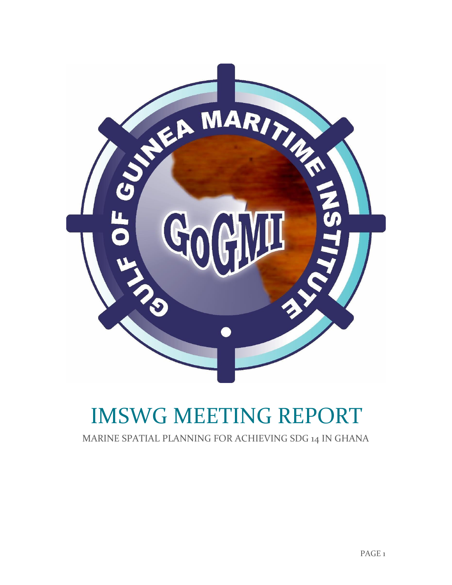

# IMSWG MEETING REPORT

MARINE SPATIAL PLANNING FOR ACHIEVING SDG 14 IN GHANA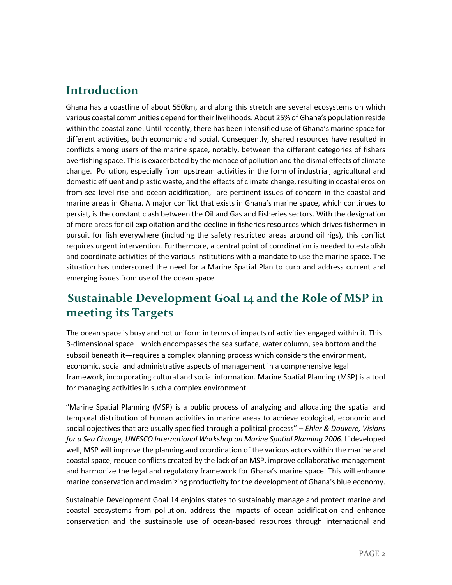### **Introduction**

Ghana has a coastline of about 550km, and along this stretch are several ecosystems on which various coastal communities depend for their livelihoods. About 25% of Ghana's population reside within the coastal zone. Until recently, there has been intensified use of Ghana's marine space for different activities, both economic and social. Consequently, shared resources have resulted in conflicts among users of the marine space, notably, between the different categories of fishers overfishing space. This is exacerbated by the menace of pollution and the dismal effects of climate change. Pollution, especially from upstream activities in the form of industrial, agricultural and domestic effluent and plastic waste, and the effects of climate change, resulting in coastal erosion from sea-level rise and ocean acidification, are pertinent issues of concern in the coastal and marine areas in Ghana. A major conflict that exists in Ghana's marine space, which continues to persist, is the constant clash between the Oil and Gas and Fisheries sectors. With the designation of more areas for oil exploitation and the decline in fisheries resources which drives fishermen in pursuit for fish everywhere (including the safety restricted areas around oil rigs), this conflict requires urgent intervention. Furthermore, a central point of coordination is needed to establish and coordinate activities of the various institutions with a mandate to use the marine space. The situation has underscored the need for a Marine Spatial Plan to curb and address current and emerging issues from use of the ocean space.

## **Sustainable Development Goal 14 and the Role of MSP in meeting its Targets**

The ocean space is busy and not uniform in terms of impacts of activities engaged within it. This 3-dimensional space—which encompasses the sea surface, water column, sea bottom and the subsoil beneath it—requires a complex planning process which considers the environment, economic, social and administrative aspects of management in a comprehensive legal framework, incorporating cultural and social information. Marine Spatial Planning (MSP) is a tool for managing activities in such a complex environment.

"Marine Spatial Planning (MSP) is a public process of analyzing and allocating the spatial and temporal distribution of human activities in marine areas to achieve ecological, economic and social objectives that are usually specified through a political process" – *Ehler & Douvere, Visions for a Sea Change, UNESCO International Workshop on Marine Spatial Planning 2006.* If developed well, MSP will improve the planning and coordination of the various actors within the marine and coastal space, reduce conflicts created by the lack of an MSP, improve collaborative management and harmonize the legal and regulatory framework for Ghana's marine space. This will enhance marine conservation and maximizing productivity for the development of Ghana's blue economy.

Sustainable Development Goal 14 enjoins states to sustainably manage and protect marine and coastal ecosystems from pollution, address the impacts of ocean acidification and enhance conservation and the sustainable use of ocean-based resources through international and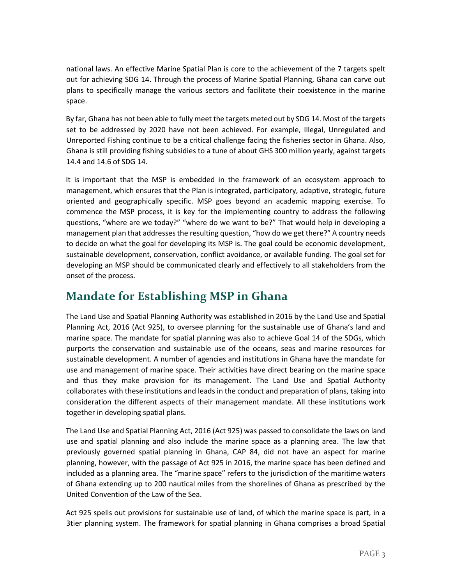national laws. An effective Marine Spatial Plan is core to the achievement of the 7 targets spelt out for achieving SDG 14. Through the process of Marine Spatial Planning, Ghana can carve out plans to specifically manage the various sectors and facilitate their coexistence in the marine space.

By far, Ghana has not been able to fully meet the targets meted out by SDG 14. Most of the targets set to be addressed by 2020 have not been achieved. For example, Illegal, Unregulated and Unreported Fishing continue to be a critical challenge facing the fisheries sector in Ghana. Also, Ghana is still providing fishing subsidies to a tune of about GHS 300 million yearly, against targets 14.4 and 14.6 of SDG 14.

It is important that the MSP is embedded in the framework of an ecosystem approach to management, which ensures that the Plan is integrated, participatory, adaptive, strategic, future oriented and geographically specific. MSP goes beyond an academic mapping exercise. To commence the MSP process, it is key for the implementing country to address the following questions, "where are we today?" "where do we want to be?" That would help in developing a management plan that addresses the resulting question, "how do we get there?" A country needs to decide on what the goal for developing its MSP is. The goal could be economic development, sustainable development, conservation, conflict avoidance, or available funding. The goal set for developing an MSP should be communicated clearly and effectively to all stakeholders from the onset of the process.

### **Mandate for Establishing MSP in Ghana**

The Land Use and Spatial Planning Authority was established in 2016 by the Land Use and Spatial Planning Act, 2016 (Act 925), to oversee planning for the sustainable use of Ghana's land and marine space. The mandate for spatial planning was also to achieve Goal 14 of the SDGs, which purports the conservation and sustainable use of the oceans, seas and marine resources for sustainable development. A number of agencies and institutions in Ghana have the mandate for use and management of marine space. Their activities have direct bearing on the marine space and thus they make provision for its management. The Land Use and Spatial Authority collaborates with these institutions and leads in the conduct and preparation of plans, taking into consideration the different aspects of their management mandate. All these institutions work together in developing spatial plans.

The Land Use and Spatial Planning Act, 2016 (Act 925) was passed to consolidate the laws on land use and spatial planning and also include the marine space as a planning area. The law that previously governed spatial planning in Ghana, CAP 84, did not have an aspect for marine planning, however, with the passage of Act 925 in 2016, the marine space has been defined and included as a planning area. The "marine space" refers to the jurisdiction of the maritime waters of Ghana extending up to 200 nautical miles from the shorelines of Ghana as prescribed by the United Convention of the Law of the Sea.

Act 925 spells out provisions for sustainable use of land, of which the marine space is part, in a 3tier planning system. The framework for spatial planning in Ghana comprises a broad Spatial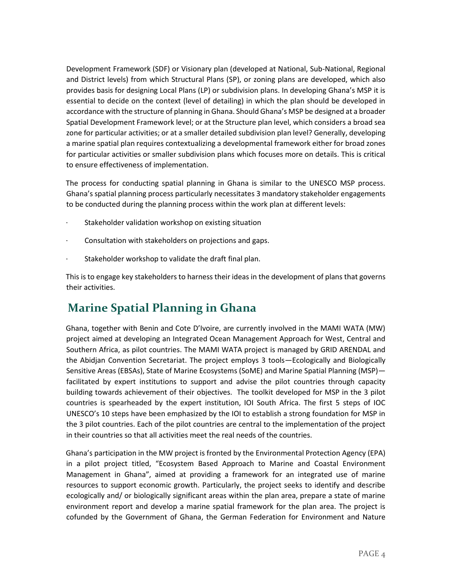Development Framework (SDF) or Visionary plan (developed at National, Sub-National, Regional and District levels) from which Structural Plans (SP), or zoning plans are developed, which also provides basis for designing Local Plans (LP) or subdivision plans. In developing Ghana's MSP it is essential to decide on the context (level of detailing) in which the plan should be developed in accordance with the structure of planning in Ghana. Should Ghana's MSP be designed at a broader Spatial Development Framework level; or at the Structure plan level, which considers a broad sea zone for particular activities; or at a smaller detailed subdivision plan level? Generally, developing a marine spatial plan requires contextualizing a developmental framework either for broad zones for particular activities or smaller subdivision plans which focuses more on details. This is critical to ensure effectiveness of implementation.

The process for conducting spatial planning in Ghana is similar to the UNESCO MSP process. Ghana's spatial planning process particularly necessitates 3 mandatory stakeholder engagements to be conducted during the planning process within the work plan at different levels:

- Stakeholder validation workshop on existing situation
- · Consultation with stakeholders on projections and gaps.
- · Stakeholder workshop to validate the draft final plan.

This is to engage key stakeholders to harness their ideas in the development of plans that governs their activities.

## **Marine Spatial Planning in Ghana**

Ghana, together with Benin and Cote D'Ivoire, are currently involved in the MAMI WATA (MW) project aimed at developing an Integrated Ocean Management Approach for West, Central and Southern Africa, as pilot countries. The MAMI WATA project is managed by GRID ARENDAL and the Abidjan Convention Secretariat. The project employs 3 tools—Ecologically and Biologically Sensitive Areas (EBSAs), State of Marine Ecosystems (SoME) and Marine Spatial Planning (MSP) facilitated by expert institutions to support and advise the pilot countries through capacity building towards achievement of their objectives. The toolkit developed for MSP in the 3 pilot countries is spearheaded by the expert institution, IOI South Africa. The first 5 steps of IOC UNESCO's 10 steps have been emphasized by the IOI to establish a strong foundation for MSP in the 3 pilot countries. Each of the pilot countries are central to the implementation of the project in their countries so that all activities meet the real needs of the countries.

Ghana's participation in the MW project is fronted by the Environmental Protection Agency (EPA) in a pilot project titled, "Ecosystem Based Approach to Marine and Coastal Environment Management in Ghana", aimed at providing a framework for an integrated use of marine resources to support economic growth. Particularly, the project seeks to identify and describe ecologically and/ or biologically significant areas within the plan area, prepare a state of marine environment report and develop a marine spatial framework for the plan area. The project is cofunded by the Government of Ghana, the German Federation for Environment and Nature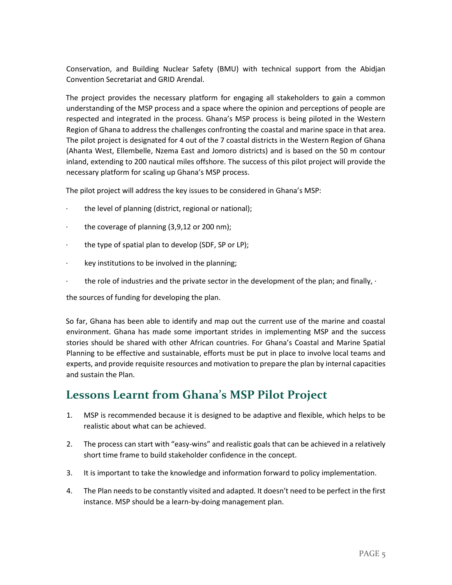Conservation, and Building Nuclear Safety (BMU) with technical support from the Abidjan Convention Secretariat and GRID Arendal.

The project provides the necessary platform for engaging all stakeholders to gain a common understanding of the MSP process and a space where the opinion and perceptions of people are respected and integrated in the process. Ghana's MSP process is being piloted in the Western Region of Ghana to address the challenges confronting the coastal and marine space in that area. The pilot project is designated for 4 out of the 7 coastal districts in the Western Region of Ghana (Ahanta West, Ellembelle, Nzema East and Jomoro districts) and is based on the 50 m contour inland, extending to 200 nautical miles offshore. The success of this pilot project will provide the necessary platform for scaling up Ghana's MSP process.

The pilot project will address the key issues to be considered in Ghana's MSP:

- · the level of planning (district, regional or national);
- · the coverage of planning (3,9,12 or 200 nm);
- · the type of spatial plan to develop (SDF, SP or LP);
- $\cdot$  key institutions to be involved in the planning;
- the role of industries and the private sector in the development of the plan; and finally,  $\cdot$

the sources of funding for developing the plan.

So far, Ghana has been able to identify and map out the current use of the marine and coastal environment. Ghana has made some important strides in implementing MSP and the success stories should be shared with other African countries. For Ghana's Coastal and Marine Spatial Planning to be effective and sustainable, efforts must be put in place to involve local teams and experts, and provide requisite resources and motivation to prepare the plan by internal capacities and sustain the Plan.

## **Lessons Learnt from Ghana's MSP Pilot Project**

- 1. MSP is recommended because it is designed to be adaptive and flexible, which helps to be realistic about what can be achieved.
- 2. The process can start with "easy-wins" and realistic goals that can be achieved in a relatively short time frame to build stakeholder confidence in the concept.
- 3. It is important to take the knowledge and information forward to policy implementation.
- 4. The Plan needs to be constantly visited and adapted. It doesn't need to be perfect in the first instance. MSP should be a learn-by-doing management plan.